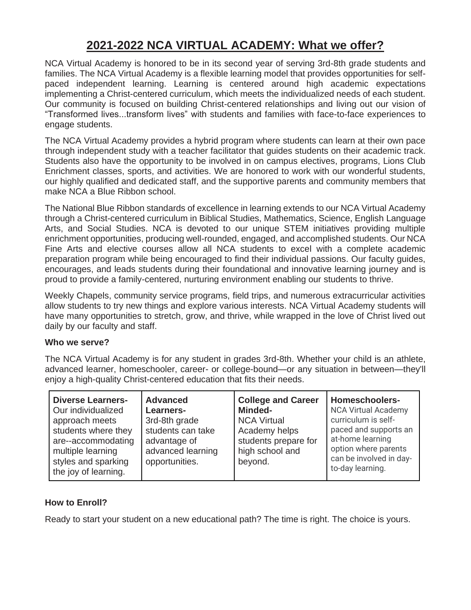## **2021-2022 NCA VIRTUAL ACADEMY: What we offer?**

NCA Virtual Academy is honored to be in its second year of serving 3rd-8th grade students and families. The NCA Virtual Academy is a flexible learning model that provides opportunities for selfpaced independent learning. Learning is centered around high academic expectations implementing a Christ-centered curriculum, which meets the individualized needs of each student. Our community is focused on building Christ-centered relationships and living out our vision of "Transformed lives...transform lives" with students and families with face-to-face experiences to engage students.

The NCA Virtual Academy provides a hybrid program where students can learn at their own pace through independent study with a teacher facilitator that guides students on their academic track. Students also have the opportunity to be involved in on campus electives, programs, Lions Club Enrichment classes, sports, and activities. We are honored to work with our wonderful students, our highly qualified and dedicated staff, and the supportive parents and community members that make NCA a Blue Ribbon school.

The National Blue Ribbon standards of excellence in learning extends to our NCA Virtual Academy through a Christ-centered curriculum in Biblical Studies, Mathematics, Science, English Language Arts, and Social Studies. NCA is devoted to our unique STEM initiatives providing multiple enrichment opportunities, producing well-rounded, engaged, and accomplished students. Our NCA Fine Arts and elective courses allow all NCA students to excel with a complete academic preparation program while being encouraged to find their individual passions. Our faculty guides, encourages, and leads students during their foundational and innovative learning journey and is proud to provide a family-centered, nurturing environment enabling our students to thrive.

Weekly Chapels, community service programs, field trips, and numerous extracurricular activities allow students to try new things and explore various interests. NCA Virtual Academy students will have many opportunities to stretch, grow, and thrive, while wrapped in the love of Christ lived out daily by our faculty and staff.

## **Who we serve?**

The NCA Virtual Academy is for any student in grades 3rd-8th. Whether your child is an athlete, advanced learner, homeschooler, career- or college-bound—or any situation in between—they'll enjoy a high-quality Christ-centered education that fits their needs.

## **How to Enroll?**

Ready to start your student on a new educational path? The time is right. The choice is yours.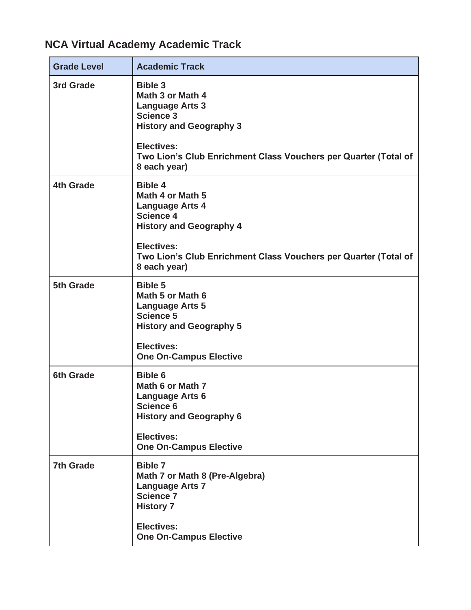## **NCA Virtual Academy Academic Track**

| <b>Grade Level</b> | <b>Academic Track</b>                                                                                                                                                                                      |
|--------------------|------------------------------------------------------------------------------------------------------------------------------------------------------------------------------------------------------------|
| 3rd Grade          | <b>Bible 3</b><br>Math 3 or Math 4<br><b>Language Arts 3</b><br><b>Science 3</b><br><b>History and Geography 3</b>                                                                                         |
|                    | <b>Electives:</b><br>Two Lion's Club Enrichment Class Vouchers per Quarter (Total of<br>8 each year)                                                                                                       |
| <b>4th Grade</b>   | <b>Bible 4</b><br>Math 4 or Math 5<br><b>Language Arts 4</b><br><b>Science 4</b><br><b>History and Geography 4</b><br><b>Electives:</b><br>Two Lion's Club Enrichment Class Vouchers per Quarter (Total of |
|                    | 8 each year)                                                                                                                                                                                               |
| 5th Grade          | <b>Bible 5</b><br>Math 5 or Math 6<br><b>Language Arts 5</b><br><b>Science 5</b><br><b>History and Geography 5</b>                                                                                         |
|                    | <b>Electives:</b><br><b>One On-Campus Elective</b>                                                                                                                                                         |
| <b>6th Grade</b>   | <b>Bible 6</b><br>Math 6 or Math 7<br><b>Language Arts 6</b><br><b>Science 6</b><br><b>History and Geography 6</b>                                                                                         |
|                    | <b>Electives:</b><br><b>One On-Campus Elective</b>                                                                                                                                                         |
| <b>7th Grade</b>   | <b>Bible 7</b><br>Math 7 or Math 8 (Pre-Algebra)<br><b>Language Arts 7</b><br><b>Science 7</b><br><b>History 7</b>                                                                                         |
|                    | <b>Electives:</b><br><b>One On-Campus Elective</b>                                                                                                                                                         |